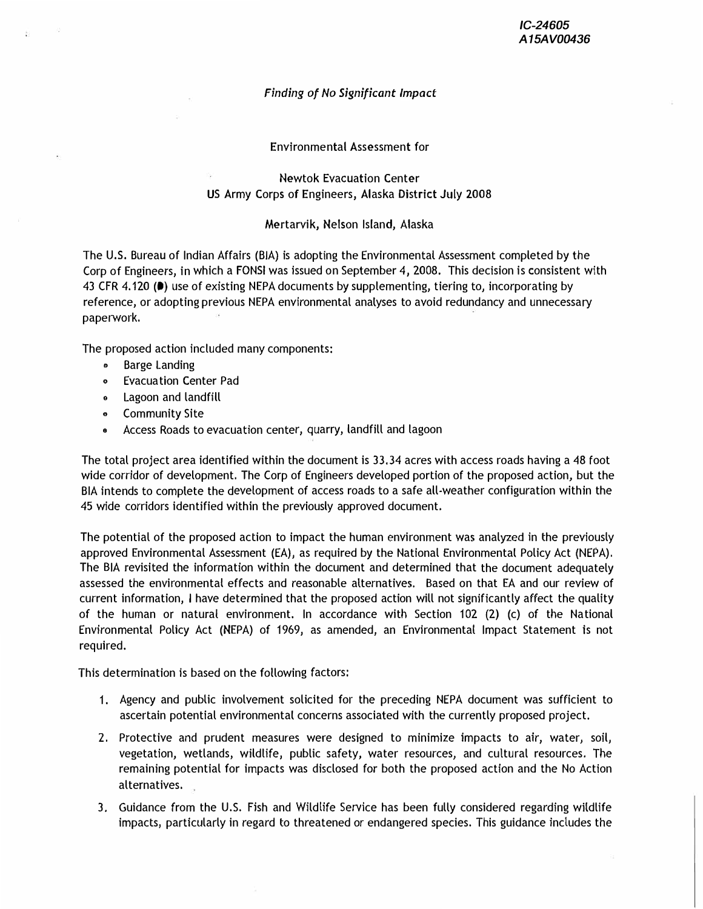## *Finding of No Significant Impact*

Environmental Assessment for

Newtok Evacuation Center US Army Corps of Engineers, Alaska District July 2008

## Mertarvik, Nelson Island, Alaska

The U.S. Bureau of Indian Affairs (BIA) is adopting the Environmental Assessment completed by the Corp *of* Engineers, in which a FONS( was issued on September 4, 2008. This decision is consistent with 43 CFR 4.120 (<sup>a</sup>) use of existing NEPA documents by supplementing, tiering to, incorporating by reference, or adopting previous NEPA environmental analyses to avoid redundancy and unnecessary paperwork.

The proposed action included many components:

- Barge Landing
- Evacuation Center Pad
- Lagoon and landfill
- Community Site
- $\bullet$ Access Roads to evacuation center, quarry, landfill and lagoon

The total project area identified within the document is 33.34 acres with access roads having a 48 foot wide corridor of development. The Corp *of* Engineers developed portion of the proposed action, but the BIA intends to complete the development *of* access roads to a safe all-weather configuration within the 45 wide corridors identified within the previously approved document.

The potential *of* the proposed action to impact the human environment was analyzed in the previously approved Environmental Assessment (EA), as required by the National Environmental Policy Act (NEPA). The BIA revisited the information within the document and determined that the document adequately assessed the environmental effects and reasonable alternatives. Based on that EA and our review *of* current information, I have determined that the proposed action will not significantly affect the quality *of* the human or natural environment. In accordance with Section 102 (2) (c) *of* the National Environmental Policy Act (NEPA) *of* 1969, as amended, an Environmental Impact Statement is not required.

This determination is based on the following factors:

- 1. Agency and public involvement solicited for the preceding NEPA document was sufficient to ascertain potential environmental concerns associated with the currently proposed project.
- 2. Protective and prudent measures were designed to minimize impacts to air, water, soil, vegetation, wetlands, wildlife, public safety, water resources, and cultural resources. The remaining potential for impacts was disclosed for both the proposed action and the No Action alternatives.
- 3. Guidance from the U.S. Fish and Wildlife Service has been fully considered regarding wildlife impacts, particularly in regard to threatened or endangered species. This guidance includes the